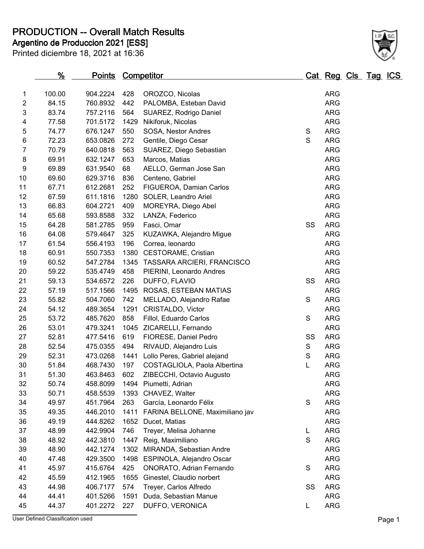**PRODUCTION -- Overall Match Results**

Printed diciembre 18, 2021 at 16:36 **Argentino de Produccion 2021 [ESS]**

| 3              | 83.74 | 757.2116 | 564  | SUAREZ, Rodrigo Daniel               |               | <b>ARG</b> |
|----------------|-------|----------|------|--------------------------------------|---------------|------------|
| 4              | 77.58 | 701.5172 | 1429 | Nikiforuk, Nicolas                   |               | <b>ARG</b> |
| 5              | 74.77 | 676.1247 | 550  | SOSA, Nestor Andres                  | S             | ARG        |
| 6              | 72.23 | 653.0826 | 272  | Gentile, Diego Cesar                 | $\mathbf S$   | <b>ARG</b> |
| $\overline{7}$ | 70.79 | 640.0818 | 563  | SUAREZ, Diego Sebastian              |               | <b>ARG</b> |
| 8              | 69.91 | 632.1247 | 653  | Marcos, Matias                       |               | <b>ARG</b> |
| 9              | 69.89 | 631.9540 | 68   | AELLO, German Jose San               |               | ARG        |
| 10             | 69.60 | 629.3716 | 836  | Centeno, Gabriel                     |               | <b>ARG</b> |
| 11             | 67.71 | 612.2681 | 252  | FIGUEROA, Damian Carlos              |               | <b>ARG</b> |
| 12             | 67.59 | 611.1816 | 1280 | SOLER, Leandro Ariel                 |               | <b>ARG</b> |
| 13             | 66.83 | 604.2721 | 409  | MOREYRA, Diego Abel                  |               | ARG        |
| 14             | 65.68 | 593.8588 | 332  | LANZA, Federico                      |               | <b>ARG</b> |
| 15             | 64.28 | 581.2785 | 959  | Fasci, Omar                          | SS            | <b>ARG</b> |
| 16             | 64.08 | 579.4647 | 325  | KUZAWKA, Alejandro Migue             |               | <b>ARG</b> |
| 17             | 61.54 | 556.4193 | 196  | Correa, leonardo                     |               | ARG        |
| 18             | 60.91 | 550.7353 |      | 1380 CESTORAME, Cristian             |               | <b>ARG</b> |
| 19             | 60.52 | 547.2784 |      | 1345 TASSARA ARCIERI, FRANCISCO      |               | <b>ARG</b> |
| 20             | 59.22 | 535.4749 | 458  | PIERINI, Leonardo Andres             |               | <b>ARG</b> |
| 21             | 59.13 | 534.6572 | 226  | DUFFO, FLAVIO                        | SS            | <b>ARG</b> |
| 22             | 57.19 | 517.1566 |      | 1495 ROSAS, ESTEBAN MATIAS           |               | <b>ARG</b> |
| 23             | 55.82 | 504.7060 | 742  | MELLADO, Alejandro Rafae             | S             | <b>ARG</b> |
| 24             | 54.12 | 489.3654 | 1291 | CRISTALDO, Victor                    |               | <b>ARG</b> |
| 25             | 53.72 | 485.7620 | 858  | Fillol, Eduardo Carlos               | S             | <b>ARG</b> |
| 26             | 53.01 | 479.3241 |      | 1045 ZICARELLI, Fernando             |               | <b>ARG</b> |
| 27             | 52.81 | 477.5416 | 619  | FIORESE, Daniel Pedro                | SS            | <b>ARG</b> |
| 28             | 52.54 | 475.0355 | 494  | RIVAUD, Alejandro Luis               | S             | <b>ARG</b> |
| 29             | 52.31 | 473.0268 |      | 1441 Lollo Peres, Gabriel alejand    | ${\mathsf S}$ | ARG        |
| 30             | 51.84 | 468.7430 | 197  | COSTAGLIOLA, Paola Albertina         | L             | <b>ARG</b> |
| 31             | 51.30 | 463.8463 | 602  | ZIBECCHI, Octavio Augusto            |               | <b>ARG</b> |
| 32             | 50.74 | 458.8099 |      | 1494 Piumetti, Adrian                |               | ARG        |
| 33             | 50.71 | 458.5539 |      | 1393 CHAVEZ, Walter                  |               | ARG        |
| 34             | 49.97 | 451.7964 | 263  | García, Leonardo Félix               | S             | ARG        |
| 35             | 49.35 | 446.2010 |      | 1411 FARINA BELLONE, Maximiliano jav |               | <b>ARG</b> |
| 36             | 49.19 | 444.8262 |      | 1652 Ducet, Matias                   |               | <b>ARG</b> |
| 37             | 48.99 | 442.9904 | 746  | Treyer, Melisa Johanne               | L             | <b>ARG</b> |
| 38             | 48.92 | 442.3810 | 1447 | Reig, Maximiliano                    | S             | <b>ARG</b> |
| 39             | 48.90 | 442.1274 | 1302 | MIRANDA, Sebastian Andre             |               | <b>ARG</b> |
| 40             | 47.48 | 429.3500 |      | 1498 ESPINOLA, Alejandro Oscar       |               | <b>ARG</b> |
| 41             | 45.97 | 415.6764 | 425  | ONORATO, Adrian Fernando             | S             | <b>ARG</b> |
| 42             | 45.59 | 412.1965 | 1655 | Ginestel, Claudio norbert            |               | <b>ARG</b> |
| 43             | 44.98 | 406.7177 | 574  | Treyer, Carlos Alfredo               | SS            | <b>ARG</b> |
| 44             | 44.41 | 401.5266 | 1591 | Duda, Sebastian Manue                |               | <b>ARG</b> |
| 45             | 44.37 | 401.2272 | 227  | DUFFO, VERONICA                      | L             | <b>ARG</b> |
|                |       |          |      |                                      |               |            |

**% Points Competitor Cat Reg Cls Tag ICS**

 100.00 904.2224 428 OROZCO, Nicolas ARG 84.15 760.8932 442 PALOMBA, Esteban David ARG

User Defined Classification used **Page 1**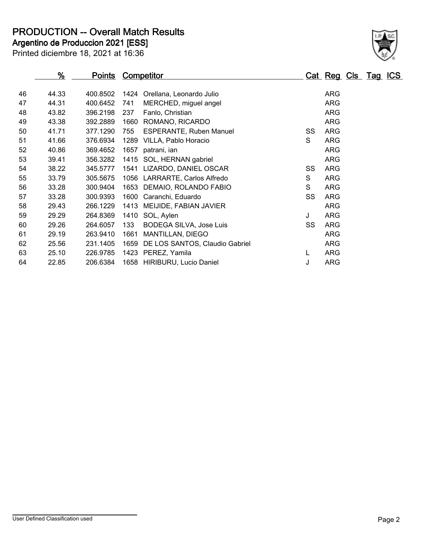**PRODUCTION -- Overall Match Results**

**Argentino de Produccion 2021 [ESS]**

|    | <u>%</u> | <u>Points</u> |      | <b>Competitor</b>              |    | <u>Cat Reg Cls Tag ICS</u> |  |
|----|----------|---------------|------|--------------------------------|----|----------------------------|--|
|    |          |               |      |                                |    |                            |  |
| 46 | 44.33    | 400.8502      |      | 1424 Orellana, Leonardo Julio  |    | <b>ARG</b>                 |  |
| 47 | 44.31    | 400.6452      | 741  | MERCHED, miguel angel          |    | <b>ARG</b>                 |  |
| 48 | 43.82    | 396.2198      | 237  | Fanlo, Christian               |    | <b>ARG</b>                 |  |
| 49 | 43.38    | 392.2889      | 1660 | ROMANO, RICARDO                |    | <b>ARG</b>                 |  |
| 50 | 41.71    | 377.1290      | 755  | <b>ESPERANTE, Ruben Manuel</b> | SS | <b>ARG</b>                 |  |
| 51 | 41.66    | 376.6934      | 1289 | VILLA, Pablo Horacio           | S  | <b>ARG</b>                 |  |
| 52 | 40.86    | 369.4652      | 1657 | patrani, ian                   |    | <b>ARG</b>                 |  |
| 53 | 39.41    | 356.3282      |      | 1415 SOL, HERNAN gabriel       |    | <b>ARG</b>                 |  |
| 54 | 38.22    | 345.5777      |      | 1541 LIZARDO, DANIEL OSCAR     | SS | <b>ARG</b>                 |  |
| 55 | 33.79    | 305.5675      |      | 1056 LARRARTE, Carlos Alfredo  | S  | <b>ARG</b>                 |  |
| 56 | 33.28    | 300.9404      |      | 1653 DEMAIO, ROLANDO FABIO     | S  | <b>ARG</b>                 |  |
| 57 | 33.28    | 300.9393      | 1600 | Caranchi, Eduardo              | SS | <b>ARG</b>                 |  |
| 58 | 29.43    | 266.1229      | 1413 | MEIJIDE, FABIAN JAVIER         |    | <b>ARG</b>                 |  |
| 59 | 29.29    | 264.8369      | 1410 | SOL, Aylen                     | J  | <b>ARG</b>                 |  |
| 60 | 29.26    | 264.6057      | 133  | BODEGA SILVA, Jose Luis        | SS | <b>ARG</b>                 |  |
| 61 | 29.19    | 263.9410      | 1661 | MANTILLAN, DIEGO               |    | <b>ARG</b>                 |  |
| 62 | 25.56    | 231.1405      | 1659 | DE LOS SANTOS, Claudio Gabriel |    | <b>ARG</b>                 |  |
| 63 | 25.10    | 226.9785      |      | 1423 PEREZ, Yamila             | L  | <b>ARG</b>                 |  |
| 64 | 22.85    | 206.6384      |      | 1658 HIRIBURU, Lucio Daniel    | J  | <b>ARG</b>                 |  |

Printed diciembre 18, 2021 at 16:36

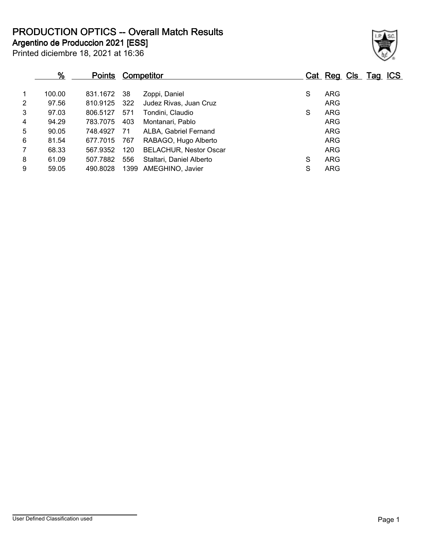**PRODUCTION OPTICS -- Overall Match Results**

**Argentino de Produccion 2021 [ESS]**

| Printed diciembre 18, 2021 at 16:36 |  |  |
|-------------------------------------|--|--|
|-------------------------------------|--|--|

## **% Points Competitor Cat Reg Cls Tag ICS** 1 100.00 831.1672 38 Zoppi, Daniel S ARG 2 97.56 810.9125 322 Judez Rivas, Juan Cruz<br>3 97.03 806.5127 571 Tondini Claudio 3 97.03 806.5127 571 Tondini, Claudio S ARG 4 94.29 783.7075 403 Montanari, Pablo ARG 5 90.05 748.4927 71 ALBA, Gabriel Fernand ARG 6 81.54 677.7015 767 RABAGO, Hugo Alberto ARG 7 68.33 567.9352 120 BELACHUR, Nestor Oscar ARG 8 61.09 507.7882 556 Staltari, Daniel Alberto S ARG

9 59.05 490.8028 1399 AMEGHINO, Javier S S ARG